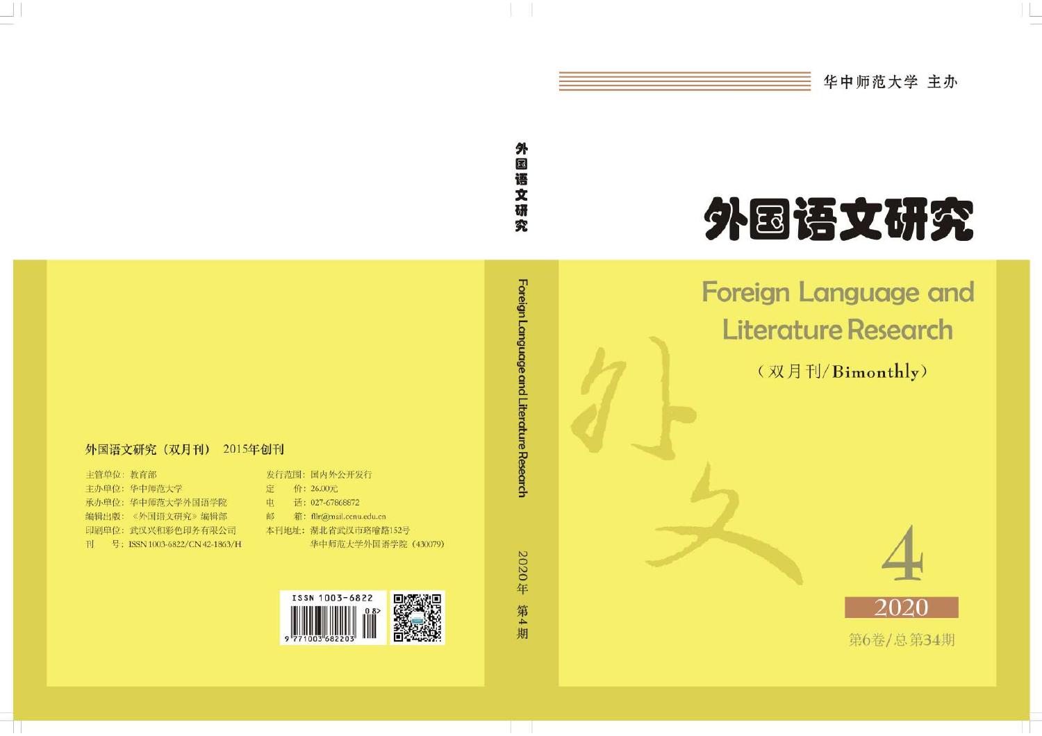

# 外国语文研究

# 外国语文研究

Foreign Language and **Literature Research** 

(双月刊/Bimonthly)



Foreign Language and Literature Research



#### 外国语文研究 (双月刊) 2015年创刊

主管单位: 教育部 主办单位: 华中师范大学 承办单位: 华中师范大学外国语学院 编辑出版:《外国语文研究》编辑部 印刷单位: 武汉兴和彩色印务有限公司 刊 号: ISSN 1003-6822/CN 42-1863/H

| 电 | 话: 027-67868872                    |
|---|------------------------------------|
| 邮 | 箱: fllr(a)mail.ccnu.edu.cn         |
|   | 本刊地址: 湖北省武汉市珞喻路152号<br>华中师范大学外国语学院 |
|   |                                    |

发行范围: 国内外公开发行

价: 26.00元

定

ISSN 1003-6822

 $(430079)$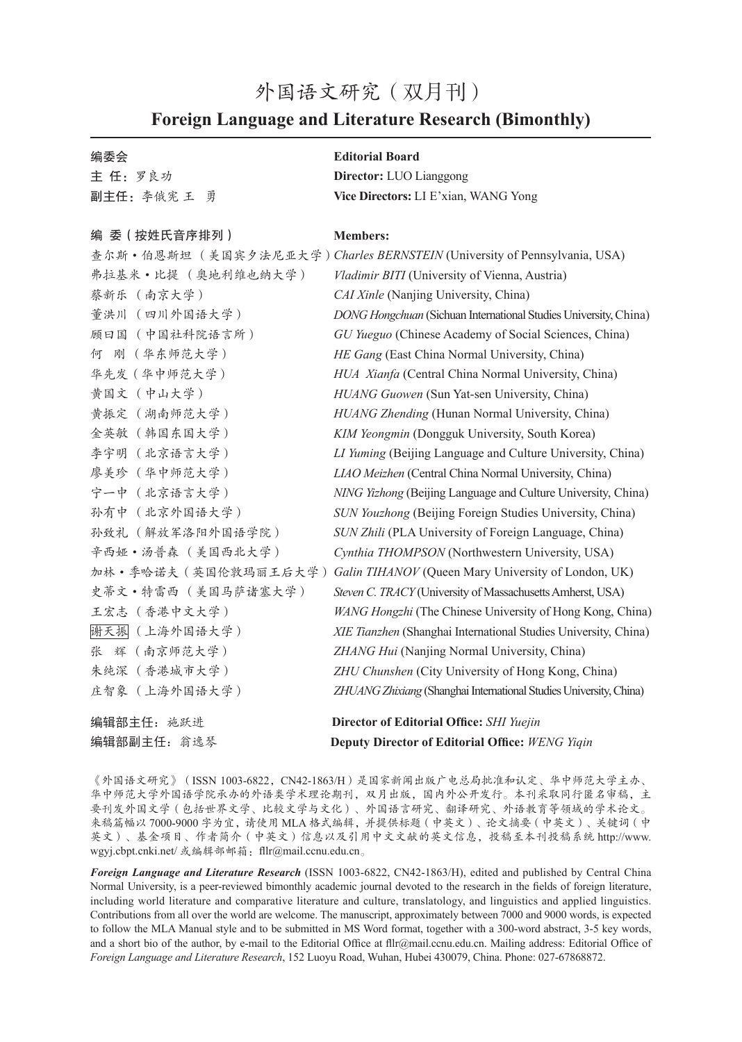# 外国语文研究(双月刊) **Foreign Language and Literature Research (Bimonthly)**

#### 编委会

主 任:罗良功 副主任:李俄宪 王 勇

#### 编 委(按姓氏音序排列)

弗拉基米·比提 (奥地利维也纳大学) 蔡新乐 (南京大学) 董洪川 (四川外国语大学) 顾曰国 (中国社科院语言所) 何 刚 (华东师范大学) 华先发(华中师范大学) 黄国文 (中山大学) 黄振定 (湖南师范大学) 金英敏 (韩国东国大学) 李宇明 (北京语言大学) 廖美珍 (华中师范大学) 宁一中 (北京语言大学) 孙有中 (北京外国语大学) 孙致礼 (解放军洛阳外国语学院) 辛西娅·汤普森 (美国西北大学) 史蒂文·特雷西 (美国马萨诸塞大学) 王宏志 (香港中文大学) 谢天振 (上海外国语大学) 张 辉 (南京师范大学) 朱纯深 (香港城市大学) 庄智象 (上海外国语大学)

#### **Editorial Board**

**Director:** LUO Lianggong **Vice Directors:** LI E'xian, WANG Yong

#### **Members:**

查尔斯·伯恩斯坦 (美国宾夕法尼亚大学) *Charles BERNSTEIN* (University of Pennsylvania, USA) 加林·季哈诺夫(英国伦敦玛丽王后大学) *Galin TIHANOV* (Queen Mary University of London, UK) *Vladimir BITI* (University of Vienna, Austria) *CAI Xinle* (Nanjing University, China) *DONG Hongchuan* (Sichuan International Studies University, China) *GU Yueguo* (Chinese Academy of Social Sciences, China) *HE Gang* (East China Normal University, China) *HUA Xianfa* (Central China Normal University, China) *HUANG Guowen* (Sun Yat-sen University, China) *HUANG Zhending* (Hunan Normal University, China) *KIM Yeongmin* (Dongguk University, South Korea) *LI Yuming* (Beijing Language and Culture University, China) *LIAO Meizhen* (Central China Normal University, China) *NING Yizhong* (Beijing Language and Culture University, China) *SUN Youzhong* (Beijing Foreign Studies University, China) *SUN Zhili* (PLA University of Foreign Language, China) *Cynthia THOMPSON* (Northwestern University, USA) *Steven C. TRACY* (University of Massachusetts Amherst, USA) *WANG Hongzhi* (The Chinese University of Hong Kong, China) *XIE Tianzhen* (Shanghai International Studies University, China) *ZHANG Hui* (Nanjing Normal University, China) *ZHU Chunshen* (City University of Hong Kong, China) *ZHUANG Zhixiang* (Shanghai International Studies University, China)

#### 编辑部主任:施跃进 **Director of Editorial Office:** *SHI Yuejin* 编辑部副主任:翁逸琴 **Deputy Director of Editorial Office:** *WENG Yiqin*

《外国语文研究》(ISSN 1003-6822, CN42-1863/H)是国家新闻出版广电总局批准和认定、华中师范大学主办、 华中师范大学外国语学院承办的外语类学术理论期刊,双月出版,国内外公开发行。本刊采取同行匿名审稿,主 要刊发外国文学(包括世界文学、比较文学与文化)、外国语言研究、翻译研究、外语教育等领域的学术论文。 来稿篇幅以 7000-9000 字为宜,请使用 MLA 格式编辑,并提供标题(中英文)、论文摘要(中英文)、关键词(中 英文)、基金项目、作者简介(中英文)信息以及引用中文文献的英文信息,投稿至本刊投稿系统 http://www. wgyj.cbpt.cnki.net/ 或编辑部邮箱: fllr@mail.ccnu.edu.cn。

*Foreign Language and Literature Research* (ISSN 1003-6822, CN42-1863/H), edited and published by Central China Normal University, is a peer-reviewed bimonthly academic journal devoted to the research in the fields of foreign literature, including world literature and comparative literature and culture, translatology, and linguistics and applied linguistics. Contributions from all over the world are welcome. The manuscript, approximately between 7000 and 9000 words, is expected to follow the MLA Manual style and to be submitted in MS Word format, together with a 300-word abstract, 3-5 key words, and a short bio of the author, by e-mail to the Editorial Office at fllr@mail.ccnu.edu.cn. Mailing address: Editorial Office of *Foreign Language and Literature Research*, 152 Luoyu Road, Wuhan, Hubei 430079, China. Phone: 027-67868872.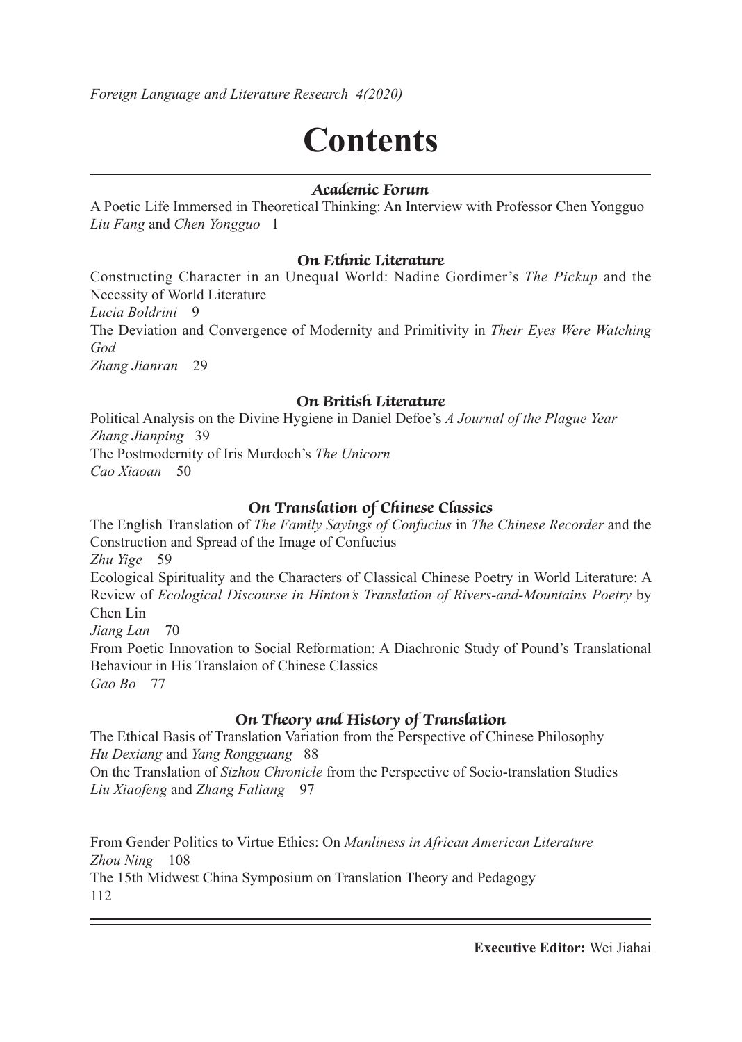*Foreign Language and Literature Research 4(2020)*

# **Contents**

#### **Academic Forum**

A Poetic Life Immersed in Theoretical Thinking: An Interview with Professor Chen Yongguo *Liu Fang* and *Chen Yongguo* 1

#### **On Ethnic Literature**

Constructing Character in an Unequal World: Nadine Gordimer's *The Pickup* and the Necessity of World Literature *Lucia Boldrini* 9 The Deviation and Convergence of Modernity and Primitivity in *Their Eyes Were Watching God*

*Zhang Jianran* 29

#### **On British Literature**

Political Analysis on the Divine Hygiene in Daniel Defoe's *A Journal of the Plague Year Zhang Jianping* 39 The Postmodernity of Iris Murdoch's *The Unicorn Cao Xiaoan* 50

#### **On Translation of Chinese Classics**

The English Translation of *The Family Sayings of Confucius* in *The Chinese Recorder* and the Construction and Spread of the Image of Confucius *Zhu Yige* 59 Ecological Spirituality and the Characters of Classical Chinese Poetry in World Literature: A Review of *Ecological Discourse in Hinton's Translation of Rivers-and-Mountains Poetry* by Chen Lin *Jiang Lan* 70 From Poetic Innovation to Social Reformation: A Diachronic Study of Pound's Translational Behaviour in His Translaion of Chinese Classics *Gao Bo* 77

#### **On Theory and History of Translation**

The Ethical Basis of Translation Variation from the Perspective of Chinese Philosophy *Hu Dexiang* and *Yang Rongguang* 88 On the Translation of *Sizhou Chronicle* from the Perspective of Socio-translation Studies *Liu Xiaofeng* and *Zhang Faliang* 97

From Gender Politics to Virtue Ethics: On *Manliness in African American Literature Zhou Ning* 108 The 15th Midwest China Symposium on Translation Theory and Pedagogy 112